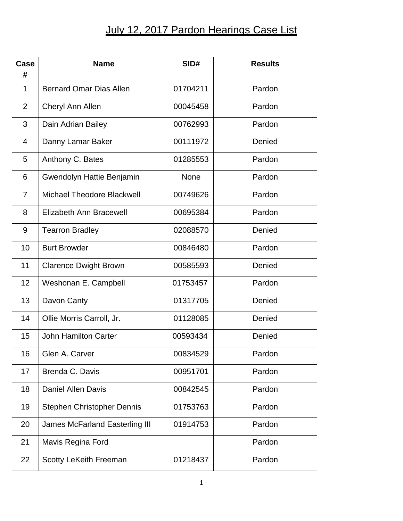## July 12, 2017 Pardon Hearings Case List

| Case<br>#      | <b>Name</b>                           | SID#        | <b>Results</b> |
|----------------|---------------------------------------|-------------|----------------|
| 1              | <b>Bernard Omar Dias Allen</b>        | 01704211    | Pardon         |
| 2              | Cheryl Ann Allen                      | 00045458    | Pardon         |
| 3              | Dain Adrian Bailey                    | 00762993    | Pardon         |
| $\overline{4}$ | Danny Lamar Baker                     | 00111972    | Denied         |
| 5              | Anthony C. Bates                      | 01285553    | Pardon         |
| 6              | Gwendolyn Hattie Benjamin             | <b>None</b> | Pardon         |
| $\overline{7}$ | <b>Michael Theodore Blackwell</b>     | 00749626    | Pardon         |
| 8              | Elizabeth Ann Bracewell               | 00695384    | Pardon         |
| 9              | <b>Tearron Bradley</b>                | 02088570    | Denied         |
| 10             | <b>Burt Browder</b>                   | 00846480    | Pardon         |
| 11             | <b>Clarence Dwight Brown</b>          | 00585593    | Denied         |
| 12             | Weshonan E. Campbell                  | 01753457    | Pardon         |
| 13             | Davon Canty                           | 01317705    | Denied         |
| 14             | Ollie Morris Carroll, Jr.             | 01128085    | Denied         |
| 15             | <b>John Hamilton Carter</b>           | 00593434    | Denied         |
| 16             | Glen A. Carver                        | 00834529    | Pardon         |
| 17             | Brenda C. Davis                       | 00951701    | Pardon         |
| 18             | <b>Daniel Allen Davis</b>             | 00842545    | Pardon         |
| 19             | Stephen Christopher Dennis            | 01753763    | Pardon         |
| 20             | <b>James McFarland Easterling III</b> | 01914753    | Pardon         |
| 21             | Mavis Regina Ford                     |             | Pardon         |
| 22             | Scotty LeKeith Freeman                | 01218437    | Pardon         |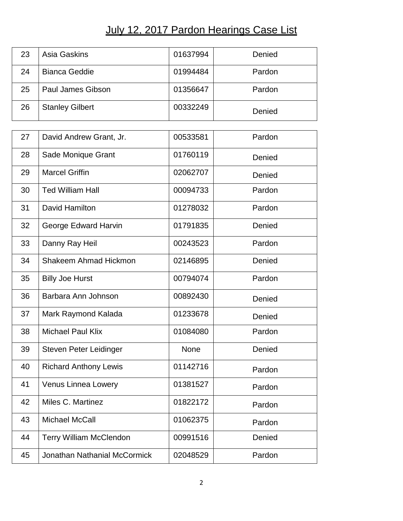## July 12, 2017 Pardon Hearings Case List

| 23 | Asia Gaskins             | 01637994 | Denied |
|----|--------------------------|----------|--------|
| 24 | <b>Bianca Geddie</b>     | 01994484 | Pardon |
| 25 | <b>Paul James Gibson</b> | 01356647 | Pardon |
| 26 | <b>Stanley Gilbert</b>   | 00332249 | Denied |

| 27 | David Andrew Grant, Jr.             | 00533581 | Pardon |
|----|-------------------------------------|----------|--------|
| 28 | Sade Monique Grant                  | 01760119 | Denied |
| 29 | <b>Marcel Griffin</b>               | 02062707 | Denied |
| 30 | <b>Ted William Hall</b>             | 00094733 | Pardon |
| 31 | David Hamilton                      | 01278032 | Pardon |
| 32 | George Edward Harvin                | 01791835 | Denied |
| 33 | Danny Ray Heil                      | 00243523 | Pardon |
| 34 | <b>Shakeem Ahmad Hickmon</b>        | 02146895 | Denied |
| 35 | <b>Billy Joe Hurst</b>              | 00794074 | Pardon |
| 36 | Barbara Ann Johnson                 | 00892430 | Denied |
| 37 | Mark Raymond Kalada                 | 01233678 | Denied |
| 38 | <b>Michael Paul Klix</b>            | 01084080 | Pardon |
| 39 | Steven Peter Leidinger              | None     | Denied |
| 40 | <b>Richard Anthony Lewis</b>        | 01142716 | Pardon |
| 41 | Venus Linnea Lowery                 | 01381527 | Pardon |
| 42 | Miles C. Martinez                   | 01822172 | Pardon |
| 43 | <b>Michael McCall</b>               | 01062375 | Pardon |
| 44 | <b>Terry William McClendon</b>      | 00991516 | Denied |
| 45 | <b>Jonathan Nathanial McCormick</b> | 02048529 | Pardon |